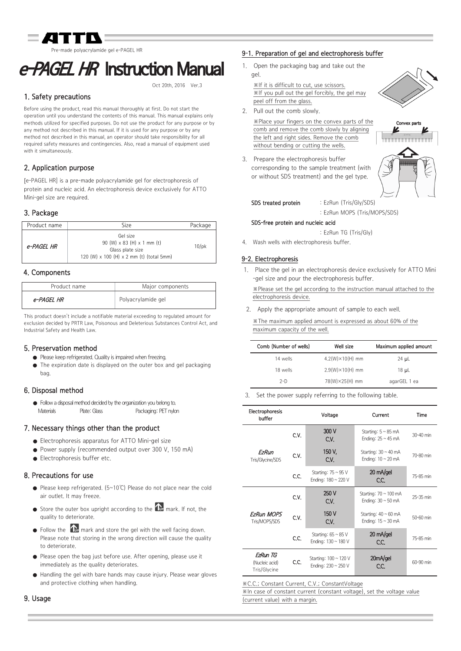ade polyacrylamide gel e-PAGEL HR

# e-PAGEL HR Instruction Manual

Oct 20th, 2016 Ver.3

# 1. Safety precautions

Before using the product, read this manual thoroughly at first. Do not start the operation until you understand the contents of this manual. This manual explains only methods utilized for specified purposes. Do not use the product for any purpose or by any method not described in this manual. If it is used for any purpose or by any method not described in this manual, an operator should take responsibility for all required safety measures and contingencies. Also, read a manual of equipment used with it simultaneously.

# 2. Application purpose

[e-PAGEL HR] is a pre-made polyacrylamide gel for electrophoresis of protein and nucleic acid. An electrophoresis device exclusively for ATTO Mini-gel size are required.

# 3. Package

| Product name | Size                                                                                                                 | Package  |
|--------------|----------------------------------------------------------------------------------------------------------------------|----------|
| e-PAGEL HR   | Gel size<br>90 (W) $\times$ 83 (H) $\times$ 1 mm (t)<br>Glass plate size<br>120 (W) x 100 (H) x 2 mm (t) (total 5mm) | $10$ /pk |

## 4. Components

| Product name | Major components   |
|--------------|--------------------|
| e-PAGFL HR   | Polyacrylamide gel |

This product doesn't include a notifiable material exceeding to regulated amount for exclusion decided by PRTR Law, Poisonous and Deleterious Substances Control Act, and Industrial Safety and Health Law.

## 5. Preservation method

- Please keep refrigerated. Quality is impaired when freezing.
- The expiration date is displayed on the outer box and gel packaging bag.

## 6. Disposal method

● Follow a disposal method decided by the organization you belong to. Materials Plate: Glass Packaging: PET nylon

## 7. Necessary things other than the product

- Electrophoresis apparatus for ATTO Mini-gel size
- Power supply (recommended output over 300 V, 150 mA)
- Electrophoresis buffer etc.

## 8. Precautions for use

- Please keep refrigerated. (5~10℃) Please do not place near the cold air outlet. It may freeze.
- $\bullet$  Store the outer box upright according to the  $\Phi$  mark. If not, the quality to deteriorate.
- $\bullet$  Follow the  $\bullet$  mark and store the gel with the well facing down. Please note that storing in the wrong direction will cause the quality to deteriorate.
- Please open the bag just before use. After opening, please use it immediately as the quality deteriorates.
- Handling the gel with bare hands may cause injury. Please wear gloves and protective clothing when handling.

## 9-1. Preparation of gel and electrophoresis buffer

1. Open the packaging bag and take out the gel.

※If it is difficult to cut, use scissors. ※If you pull out the gel forcibly, the gel may peel off from the glass.

2. Pull out the comb slowly.

※Place your fingers on the convex parts of the comb and remove the comb slowly by aligning the left and right sides. Remove the comb without bending or cutting the wells.

3. Prepare the electrophoresis buffer corresponding to the sample treatment (with or without SDS treatment) and the gel type.



#### SDS treated protein : EzRun (Tris/Gly/SDS)

: EzRun MOPS (Tris/MOPS/SDS)

#### SDS-free protein and nucleic acid

: EzRun TG (Tris/Gly)

4. Wash wells with electrophoresis buffer.

#### 9-2. Electrophoresis

1. Place the gel in an electrophoresis device exclusively for ATTO Mini -gel size and pour the electrophoresis buffer.

※Please set the gel according to the instruction manual attached to the electrophoresis device.

2. Apply the appropriate amount of sample to each well.

※The maximum applied amount is expressed as about 60% of the maximum capacity of the well.

| Comb (Number of wells) | Well size                | Maximum applied amount |
|------------------------|--------------------------|------------------------|
| 14 wells               | $4.2(W) \times 10(H)$ mm | $24 \mu L$             |
| 18 wells               | $2.9(W) \times 10(H)$ mm | 18 uL                  |
| $2-D$                  | 78(W)×25(H) mm           | agarGEL 1 ea           |
|                        |                          |                        |

Set the power supply referring to the following table.

| Electrophoresis<br>buffer                  |      | Voltage                                         | Current                                              | Time      |
|--------------------------------------------|------|-------------------------------------------------|------------------------------------------------------|-----------|
|                                            | C.V. | 300 V<br>C.V.                                   | Starting: $5 \sim 85$ mA<br>Ending: $25 \sim 45$ mA  | 30-40 min |
| EzRun<br>Tris/Glycine/SDS                  | C.V. | 150 V.<br>C.V.                                  | Starting: $30 \sim 40$ mA<br>Ending: $10 \sim 20$ mA | 70-80 min |
|                                            | C.C. | Starting: $75 \sim 95$ V<br>Ending: 180 ~ 220 V | $20 \text{ mA/gel}$<br>C.C.                          | 75-85 min |
|                                            | C.V. | 250 V<br>C.V.                                   | Starting: 70 ~ 100 mA<br>Ending: $30 \sim 50$ mA     | 25-35 min |
| <b>EzRun MOPS</b><br>Tris/MOPS/SDS         | C.V. | 150 V<br>C.V.                                   | Starting: $40 \sim 60$ mA<br>Ending: $15 \sim 30$ mA | 50-60 min |
|                                            | C.C. | Starting: $65 \sim 85$ V<br>Ending: 130 ~ 180 V | $20 \text{ mA/gel}$<br>C.C.                          | 75-85 min |
| EzRun TG<br>(Nucleic acid)<br>Tris/Glycine | C.C. | Starting: 100 ~ 120 V<br>Ending: 230 ~ 250 V    | 20mA/gel<br>C.C.                                     | 60-90 min |

※C.C.; Constant Current, C.V.; ConstantVoltage

※In case of constant current (constant voltage), set the voltage value (current value) with a margin.

### 9. Usage